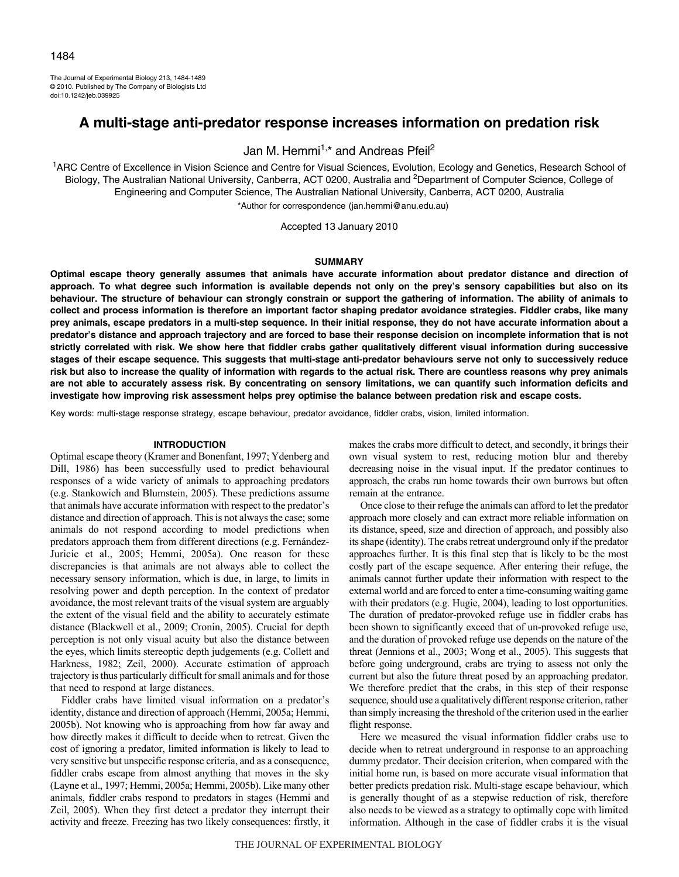The Journal of Experimental Biology 213, 1484-1489 © 2010. Published by The Company of Biologists Ltd doi:10.1242/jeb.039925

# **A multi-stage anti-predator response increases information on predation risk**

Jan M. Hemmi<sup>1,\*</sup> and Andreas Pfeil<sup>2</sup>

1ARC Centre of Excellence in Vision Science and Centre for Visual Sciences, Evolution, Ecology and Genetics, Research School of Biology, The Australian National University, Canberra, ACT 0200, Australia and 2Department of Computer Science, College of Engineering and Computer Science, The Australian National University, Canberra, ACT 0200, Australia

\*Author for correspondence (jan.hemmi@anu.edu.au)

Accepted 13 January 2010

#### **SUMMARY**

**Optimal escape theory generally assumes that animals have accurate information about predator distance and direction of approach. To what degree such information is available depends not only on the prey's sensory capabilities but also on its behaviour. The structure of behaviour can strongly constrain or support the gathering of information. The ability of animals to collect and process information is therefore an important factor shaping predator avoidance strategies. Fiddler crabs, like many prey animals, escape predators in a multi-step sequence. In their initial response, they do not have accurate information about a predator's distance and approach trajectory and are forced to base their response decision on incomplete information that is not strictly correlated with risk. We show here that fiddler crabs gather qualitatively different visual information during successive stages of their escape sequence. This suggests that multi-stage anti-predator behaviours serve not only to successively reduce risk but also to increase the quality of information with regards to the actual risk. There are countless reasons why prey animals are not able to accurately assess risk. By concentrating on sensory limitations, we can quantify such information deficits and investigate how improving risk assessment helps prey optimise the balance between predation risk and escape costs.**

Key words: multi-stage response strategy, escape behaviour, predator avoidance, fiddler crabs, vision, limited information.

#### **INTRODUCTION**

Optimal escape theory (Kramer and Bonenfant, 1997; Ydenberg and Dill, 1986) has been successfully used to predict behavioural responses of a wide variety of animals to approaching predators (e.g. Stankowich and Blumstein, 2005). These predictions assume that animals have accurate information with respect to the predator's distance and direction of approach. This is not always the case; some animals do not respond according to model predictions when predators approach them from different directions (e.g. Fernández-Juricic et al., 2005; Hemmi, 2005a). One reason for these discrepancies is that animals are not always able to collect the necessary sensory information, which is due, in large, to limits in resolving power and depth perception. In the context of predator avoidance, the most relevant traits of the visual system are arguably the extent of the visual field and the ability to accurately estimate distance (Blackwell et al., 2009; Cronin, 2005). Crucial for depth perception is not only visual acuity but also the distance between the eyes, which limits stereoptic depth judgements (e.g. Collett and Harkness, 1982; Zeil, 2000). Accurate estimation of approach trajectory is thus particularly difficult for small animals and for those that need to respond at large distances.

Fiddler crabs have limited visual information on a predator's identity, distance and direction of approach (Hemmi, 2005a; Hemmi, 2005b). Not knowing who is approaching from how far away and how directly makes it difficult to decide when to retreat. Given the cost of ignoring a predator, limited information is likely to lead to very sensitive but unspecific response criteria, and as a consequence, fiddler crabs escape from almost anything that moves in the sky (Layne et al., 1997; Hemmi, 2005a; Hemmi, 2005b). Like many other animals, fiddler crabs respond to predators in stages (Hemmi and Zeil, 2005). When they first detect a predator they interrupt their activity and freeze. Freezing has two likely consequences: firstly, it makes the crabs more difficult to detect, and secondly, it brings their own visual system to rest, reducing motion blur and thereby decreasing noise in the visual input. If the predator continues to approach, the crabs run home towards their own burrows but often remain at the entrance.

Once close to their refuge the animals can afford to let the predator approach more closely and can extract more reliable information on its distance, speed, size and direction of approach, and possibly also its shape (identity). The crabs retreat underground only if the predator approaches further. It is this final step that is likely to be the most costly part of the escape sequence. After entering their refuge, the animals cannot further update their information with respect to the external world and are forced to enter a time-consuming waiting game with their predators (e.g. Hugie, 2004), leading to lost opportunities. The duration of predator-provoked refuge use in fiddler crabs has been shown to significantly exceed that of un-provoked refuge use, and the duration of provoked refuge use depends on the nature of the threat (Jennions et al., 2003; Wong et al., 2005). This suggests that before going underground, crabs are trying to assess not only the current but also the future threat posed by an approaching predator. We therefore predict that the crabs, in this step of their response sequence, should use a qualitatively different response criterion, rather than simply increasing the threshold of the criterion used in the earlier flight response.

Here we measured the visual information fiddler crabs use to decide when to retreat underground in response to an approaching dummy predator. Their decision criterion, when compared with the initial home run, is based on more accurate visual information that better predicts predation risk. Multi-stage escape behaviour, which is generally thought of as a stepwise reduction of risk, therefore also needs to be viewed as a strategy to optimally cope with limited information. Although in the case of fiddler crabs it is the visual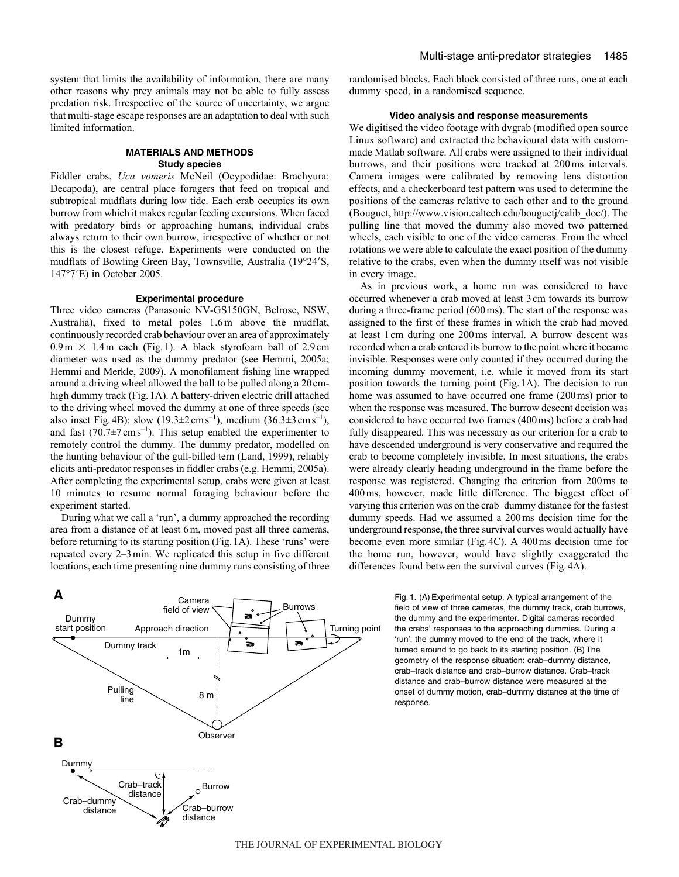system that limits the availability of information, there are many other reasons why prey animals may not be able to fully assess predation risk. Irrespective of the source of uncertainty, we argue that multi-stage escape responses are an adaptation to deal with such limited information.

## **MATERIALS AND METHODS Study species**

Fiddler crabs, *Uca vomeris* McNeil (Ocypodidae: Brachyura: Decapoda), are central place foragers that feed on tropical and subtropical mudflats during low tide. Each crab occupies its own burrow from which it makes regular feeding excursions. When faced with predatory birds or approaching humans, individual crabs always return to their own burrow, irrespective of whether or not this is the closest refuge. Experiments were conducted on the mudflats of Bowling Green Bay, Townsville, Australia (19°24'S, 147°7'E) in October 2005.

### **Experimental procedure**

Three video cameras (Panasonic NV-GS150GN, Belrose, NSW, Australia), fixed to metal poles 1.6m above the mudflat, continuously recorded crab behaviour over an area of approximately  $0.9 \text{m} \times 1.4 \text{m}$  each (Fig.1). A black styrofoam ball of 2.9 cm diameter was used as the dummy predator (see Hemmi, 2005a; Hemmi and Merkle, 2009). A monofilament fishing line wrapped around a driving wheel allowed the ball to be pulled along a 20cmhigh dummy track (Fig.1A). A battery-driven electric drill attached to the driving wheel moved the dummy at one of three speeds (see also inset Fig. 4B): slow (19.3 $\pm$ 2 cms<sup>-1</sup>), medium (36.3 $\pm$ 3 cms<sup>-1</sup>), and fast  $(70.7 \pm 7 \text{ cm s}^{-1})$ . This setup enabled the experimenter to remotely control the dummy. The dummy predator, modelled on the hunting behaviour of the gull-billed tern (Land, 1999), reliably elicits anti-predator responses in fiddler crabs (e.g. Hemmi, 2005a). After completing the experimental setup, crabs were given at least 10 minutes to resume normal foraging behaviour before the experiment started.

During what we call a 'run', a dummy approached the recording area from a distance of at least 6m, moved past all three cameras, before returning to its starting position (Fig.1A). These 'runs' were repeated every 2–3min. We replicated this setup in five different locations, each time presenting nine dummy runs consisting of three

**A** Camera Burrows field of view a Dummy start position Approach direction Turning point ъ Dummy track 1m Pulling  $lim$   $\sim$  8 m **Observer B** Dummy Crab–track ab-track<br>distance control Crab–dummy Crab–burrow distance distance

randomised blocks. Each block consisted of three runs, one at each dummy speed, in a randomised sequence.

#### **Video analysis and response measurements**

We digitised the video footage with dvgrab (modified open source Linux software) and extracted the behavioural data with custommade Matlab software. All crabs were assigned to their individual burrows, and their positions were tracked at 200ms intervals. Camera images were calibrated by removing lens distortion effects, and a checkerboard test pattern was used to determine the positions of the cameras relative to each other and to the ground (Bouguet, http://www.vision.caltech.edu/bouguetj/calib\_doc/). The pulling line that moved the dummy also moved two patterned wheels, each visible to one of the video cameras. From the wheel rotations we were able to calculate the exact position of the dummy relative to the crabs, even when the dummy itself was not visible in every image.

As in previous work, a home run was considered to have occurred whenever a crab moved at least 3cm towards its burrow during a three-frame period (600ms). The start of the response was assigned to the first of these frames in which the crab had moved at least 1cm during one 200ms interval. A burrow descent was recorded when a crab entered its burrow to the point where it became invisible. Responses were only counted if they occurred during the incoming dummy movement, i.e. while it moved from its start position towards the turning point (Fig.1A). The decision to run home was assumed to have occurred one frame (200ms) prior to when the response was measured. The burrow descent decision was considered to have occurred two frames (400ms) before a crab had fully disappeared. This was necessary as our criterion for a crab to have descended underground is very conservative and required the crab to become completely invisible. In most situations, the crabs were already clearly heading underground in the frame before the response was registered. Changing the criterion from 200ms to 400ms, however, made little difference. The biggest effect of varying this criterion was on the crab–dummy distance for the fastest dummy speeds. Had we assumed a 200ms decision time for the underground response, the three survival curves would actually have become even more similar (Fig.4C). A 400ms decision time for the home run, however, would have slightly exaggerated the differences found between the survival curves (Fig.4A).

> Fig. 1. (A)Experimental setup. A typical arrangement of the field of view of three cameras, the dummy track, crab burrows, the dummy and the experimenter. Digital cameras recorded the crabs' responses to the approaching dummies. During a 'run', the dummy moved to the end of the track, where it turned around to go back to its starting position. (B)The geometry of the response situation: crab–dummy distance, crab–track distance and crab–burrow distance. Crab–track distance and crab–burrow distance were measured at the onset of dummy motion, crab–dummy distance at the time of response.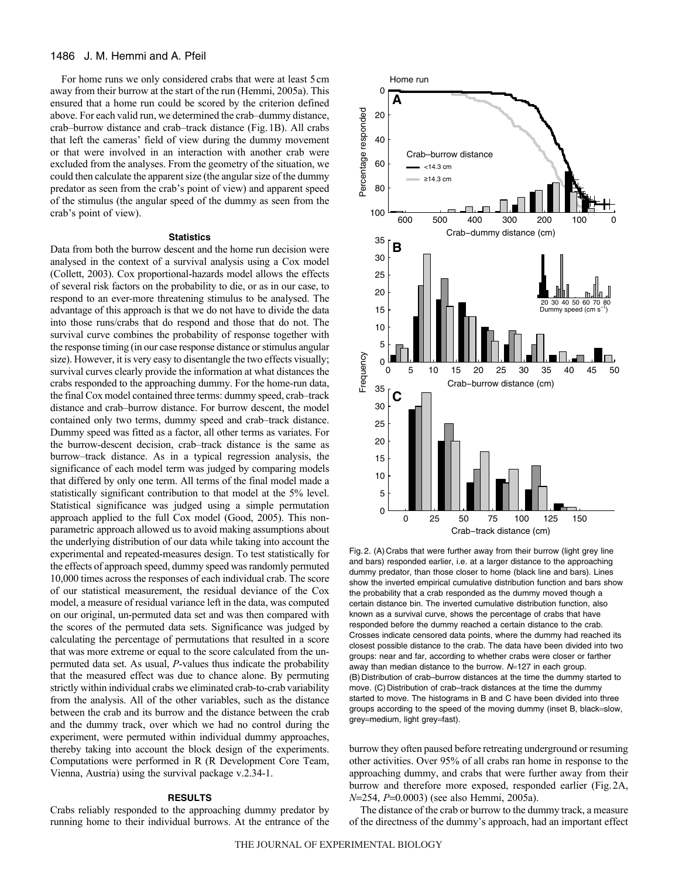### 1486 J. M. Hemmi and A. Pfeil

For home runs we only considered crabs that were at least 5cm away from their burrow at the start of the run (Hemmi, 2005a). This ensured that a home run could be scored by the criterion defined above. For each valid run, we determined the crab–dummy distance, crab–burrow distance and crab–track distance (Fig.1B). All crabs that left the cameras' field of view during the dummy movement or that were involved in an interaction with another crab were excluded from the analyses. From the geometry of the situation, we could then calculate the apparent size (the angular size of the dummy predator as seen from the crab's point of view) and apparent speed of the stimulus (the angular speed of the dummy as seen from the crab's point of view).

### **Statistics**

Data from both the burrow descent and the home run decision were analysed in the context of a survival analysis using a Cox model (Collett, 2003). Cox proportional-hazards model allows the effects of several risk factors on the probability to die, or as in our case, to respond to an ever-more threatening stimulus to be analysed. The advantage of this approach is that we do not have to divide the data into those runs/crabs that do respond and those that do not. The survival curve combines the probability of response together with the response timing (in our case response distance or stimulus angular size). However, it is very easy to disentangle the two effects visually; survival curves clearly provide the information at what distances the crabs responded to the approaching dummy. For the home-run data, the final Cox model contained three terms: dummy speed, crab–track distance and crab–burrow distance. For burrow descent, the model contained only two terms, dummy speed and crab–track distance. Dummy speed was fitted as a factor, all other terms as variates. For the burrow-descent decision, crab–track distance is the same as burrow–track distance. As in a typical regression analysis, the significance of each model term was judged by comparing models that differed by only one term. All terms of the final model made a statistically significant contribution to that model at the 5% level. Statistical significance was judged using a simple permutation approach applied to the full Cox model (Good, 2005). This nonparametric approach allowed us to avoid making assumptions about the underlying distribution of our data while taking into account the experimental and repeated-measures design. To test statistically for the effects of approach speed, dummy speed was randomly permuted 10,000 times across the responses of each individual crab. The score of our statistical measurement, the residual deviance of the Cox model, a measure of residual variance left in the data, was computed on our original, un-permuted data set and was then compared with the scores of the permuted data sets. Significance was judged by calculating the percentage of permutations that resulted in a score that was more extreme or equal to the score calculated from the unpermuted data set. As usual, *P*-values thus indicate the probability that the measured effect was due to chance alone. By permuting strictly within individual crabs we eliminated crab-to-crab variability from the analysis. All of the other variables, such as the distance between the crab and its burrow and the distance between the crab and the dummy track, over which we had no control during the experiment, were permuted within individual dummy approaches, thereby taking into account the block design of the experiments. Computations were performed in R (R Development Core Team, Vienna, Austria) using the survival package v.2.34-1.

### **RESULTS**

Crabs reliably responded to the approaching dummy predator by running home to their individual burrows. At the entrance of the



Fig. 2. (A) Crabs that were further away from their burrow (light grey line and bars) responded earlier, i.e. at a larger distance to the approaching dummy predator, than those closer to home (black line and bars). Lines show the inverted empirical cumulative distribution function and bars show the probability that a crab responded as the dummy moved though a certain distance bin. The inverted cumulative distribution function, also known as a survival curve, shows the percentage of crabs that have responded before the dummy reached a certain distance to the crab. Crosses indicate censored data points, where the dummy had reached its closest possible distance to the crab. The data have been divided into two groups: near and far, according to whether crabs were closer or farther away than median distance to the burrow.  $N=127$  in each group. (B) Distribution of crab–burrow distances at the time the dummy started to move. (C) Distribution of crab–track distances at the time the dummy started to move. The histograms in B and C have been divided into three groups according to the speed of the moving dummy (inset B, black=slow, grey=medium, light grey=fast).

burrow they often paused before retreating underground or resuming other activities. Over 95% of all crabs ran home in response to the approaching dummy, and crabs that were further away from their burrow and therefore more exposed, responded earlier (Fig.2A, *N*=254, *P*=0.0003) (see also Hemmi, 2005a).

The distance of the crab or burrow to the dummy track, a measure of the directness of the dummy's approach, had an important effect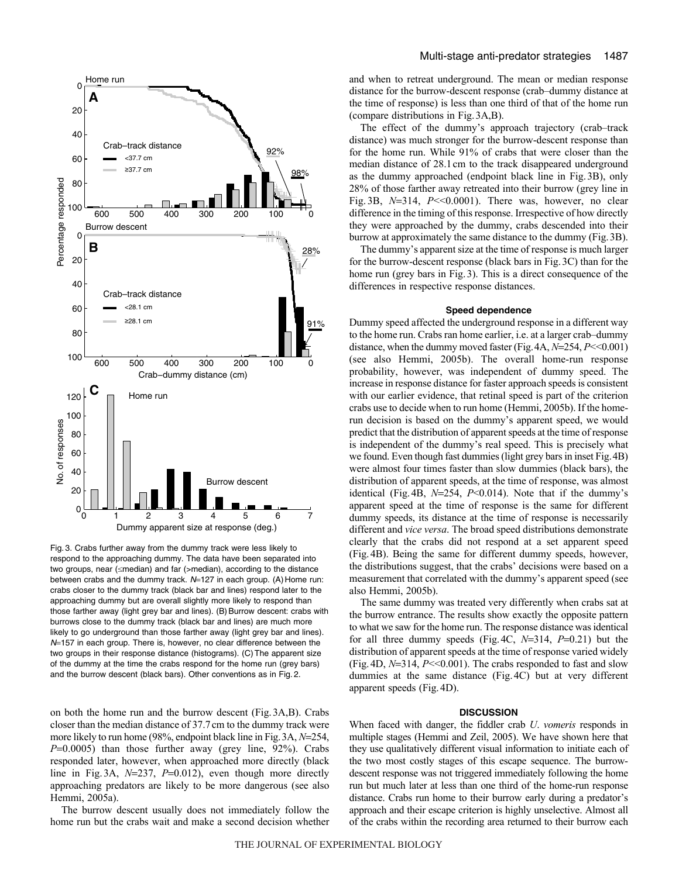

Fig. 3. Crabs further away from the dummy track were less likely to respond to the approaching dummy. The data have been separated into two groups, near ( $\leq$ median) and far (>median), according to the distance between crabs and the dummy track.  $N=127$  in each group. (A) Home run: crabs closer to the dummy track (black bar and lines) respond later to the approaching dummy but are overall slightly more likely to respond than those farther away (light grey bar and lines). (B) Burrow descent: crabs with burrows close to the dummy track (black bar and lines) are much more likely to go underground than those farther away (light grey bar and lines).  $N=157$  in each group. There is, however, no clear difference between the two groups in their response distance (histograms). (C) The apparent size of the dummy at the time the crabs respond for the home run (grey bars) and the burrow descent (black bars). Other conventions as in Fig. 2.

on both the home run and the burrow descent (Fig.3A,B). Crabs closer than the median distance of 37.7cm to the dummy track were more likely to run home (98%, endpoint black line in Fig. 3A,  $N=254$ ,  $P=0.0005$ ) than those further away (grey line,  $92\%$ ). Crabs responded later, however, when approached more directly (black line in Fig.3A,  $N=237$ ,  $P=0.012$ ), even though more directly approaching predators are likely to be more dangerous (see also Hemmi, 2005a).

The burrow descent usually does not immediately follow the home run but the crabs wait and make a second decision whether and when to retreat underground. The mean or median response distance for the burrow-descent response (crab–dummy distance at the time of response) is less than one third of that of the home run (compare distributions in Fig.3A,B).

The effect of the dummy's approach trajectory (crab–track distance) was much stronger for the burrow-descent response than for the home run. While 91% of crabs that were closer than the median distance of 28.1cm to the track disappeared underground as the dummy approached (endpoint black line in Fig.3B), only 28% of those farther away retreated into their burrow (grey line in Fig. 3B,  $N=314$ ,  $P\ll0.0001$ ). There was, however, no clear difference in the timing of this response. Irrespective of how directly they were approached by the dummy, crabs descended into their burrow at approximately the same distance to the dummy (Fig.3B).

The dummy's apparent size at the time of response is much larger for the burrow-descent response (black bars in Fig.3C) than for the home run (grey bars in Fig.3). This is a direct consequence of the differences in respective response distances.

### **Speed dependence**

Dummy speed affected the underground response in a different way to the home run. Crabs ran home earlier, i.e. at a larger crab–dummy distance, when the dummy moved faster (Fig. 4A,  $N=254$ ,  $P\leq 0.001$ ) (see also Hemmi, 2005b). The overall home-run response probability, however, was independent of dummy speed. The increase in response distance for faster approach speeds is consistent with our earlier evidence, that retinal speed is part of the criterion crabs use to decide when to run home (Hemmi, 2005b). If the homerun decision is based on the dummy's apparent speed, we would predict that the distribution of apparent speeds at the time of response is independent of the dummy's real speed. This is precisely what we found. Even though fast dummies (light grey bars in inset Fig.4B) were almost four times faster than slow dummies (black bars), the distribution of apparent speeds, at the time of response, was almost identical (Fig. 4B,  $N=254$ ,  $P<0.014$ ). Note that if the dummy's apparent speed at the time of response is the same for different dummy speeds, its distance at the time of response is necessarily different and *vice versa*. The broad speed distributions demonstrate clearly that the crabs did not respond at a set apparent speed (Fig.4B). Being the same for different dummy speeds, however, the distributions suggest, that the crabs' decisions were based on a measurement that correlated with the dummy's apparent speed (see also Hemmi, 2005b).

The same dummy was treated very differently when crabs sat at the burrow entrance. The results show exactly the opposite pattern to what we saw for the home run. The response distance was identical for all three dummy speeds (Fig. 4C,  $N=314$ ,  $P=0.21$ ) but the distribution of apparent speeds at the time of response varied widely (Fig. 4D,  $N=314$ ,  $P \le 0.001$ ). The crabs responded to fast and slow dummies at the same distance (Fig.4C) but at very different apparent speeds (Fig.4D).

### **DISCUSSION**

When faced with danger, the fiddler crab *U*. *vomeris* responds in multiple stages (Hemmi and Zeil, 2005). We have shown here that they use qualitatively different visual information to initiate each of the two most costly stages of this escape sequence. The burrowdescent response was not triggered immediately following the home run but much later at less than one third of the home-run response distance. Crabs run home to their burrow early during a predator's approach and their escape criterion is highly unselective. Almost all of the crabs within the recording area returned to their burrow each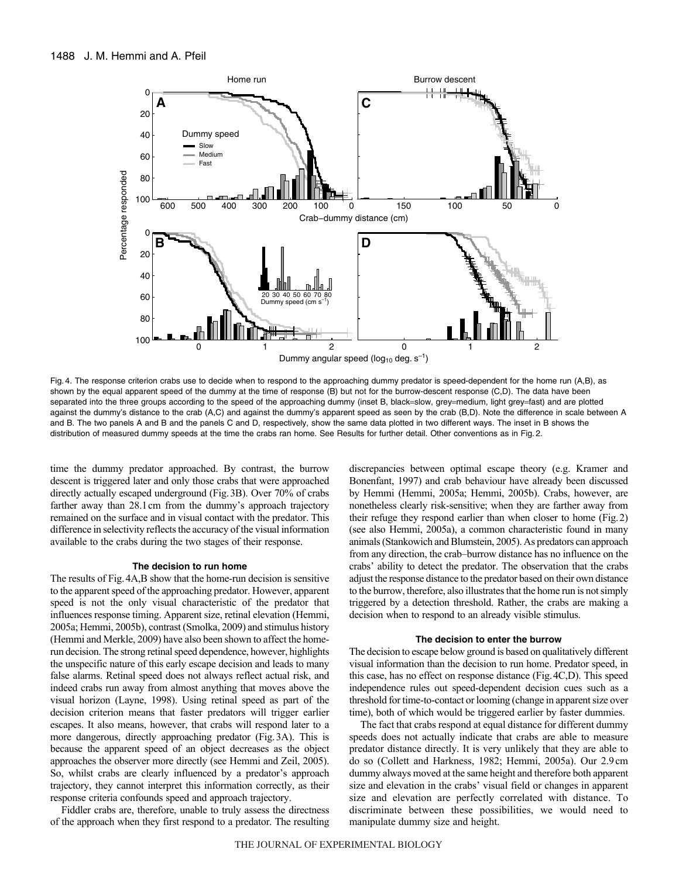

Fig. 4. The response criterion crabs use to decide when to respond to the approaching dummy predator is speed-dependent for the home run (A,B), as shown by the equal apparent speed of the dummy at the time of response (B) but not for the burrow-descent response (C,D). The data have been separated into the three groups according to the speed of the approaching dummy (inset B, black=slow, grey=medium, light grey=fast) and are plotted against the dummy's distance to the crab (A,C) and against the dummy's apparent speed as seen by the crab (B,D). Note the difference in scale between A and B. The two panels A and B and the panels C and D, respectively, show the same data plotted in two different ways. The inset in B shows the distribution of measured dummy speeds at the time the crabs ran home. See Results for further detail. Other conventions as in Fig. 2.

time the dummy predator approached. By contrast, the burrow descent is triggered later and only those crabs that were approached directly actually escaped underground (Fig.3B). Over 70% of crabs farther away than 28.1 cm from the dummy's approach trajectory remained on the surface and in visual contact with the predator. This difference in selectivity reflects the accuracy of the visual information available to the crabs during the two stages of their response.

#### **The decision to run home**

The results of Fig.4A,B show that the home-run decision is sensitive to the apparent speed of the approaching predator. However, apparent speed is not the only visual characteristic of the predator that influences response timing. Apparent size, retinal elevation (Hemmi, 2005a; Hemmi, 2005b), contrast (Smolka, 2009) and stimulus history (Hemmi and Merkle, 2009) have also been shown to affect the homerun decision. The strong retinal speed dependence, however, highlights the unspecific nature of this early escape decision and leads to many false alarms. Retinal speed does not always reflect actual risk, and indeed crabs run away from almost anything that moves above the visual horizon (Layne, 1998). Using retinal speed as part of the decision criterion means that faster predators will trigger earlier escapes. It also means, however, that crabs will respond later to a more dangerous, directly approaching predator (Fig.3A). This is because the apparent speed of an object decreases as the object approaches the observer more directly (see Hemmi and Zeil, 2005). So, whilst crabs are clearly influenced by a predator's approach trajectory, they cannot interpret this information correctly, as their response criteria confounds speed and approach trajectory.

Fiddler crabs are, therefore, unable to truly assess the directness of the approach when they first respond to a predator. The resulting discrepancies between optimal escape theory (e.g. Kramer and Bonenfant, 1997) and crab behaviour have already been discussed by Hemmi (Hemmi, 2005a; Hemmi, 2005b). Crabs, however, are nonetheless clearly risk-sensitive; when they are farther away from their refuge they respond earlier than when closer to home (Fig.2) (see also Hemmi, 2005a), a common characteristic found in many animals (Stankowich and Blumstein, 2005). As predators can approach from any direction, the crab–burrow distance has no influence on the crabs' ability to detect the predator. The observation that the crabs adjust the response distance to the predator based on their own distance to the burrow, therefore, also illustrates that the home run is not simply triggered by a detection threshold. Rather, the crabs are making a decision when to respond to an already visible stimulus.

#### **The decision to enter the burrow**

The decision to escape below ground is based on qualitatively different visual information than the decision to run home. Predator speed, in this case, has no effect on response distance (Fig.4C,D). This speed independence rules out speed-dependent decision cues such as a threshold for time-to-contact or looming (change in apparent size over time), both of which would be triggered earlier by faster dummies.

The fact that crabs respond at equal distance for different dummy speeds does not actually indicate that crabs are able to measure predator distance directly. It is very unlikely that they are able to do so (Collett and Harkness, 1982; Hemmi, 2005a). Our 2.9cm dummy always moved at the same height and therefore both apparent size and elevation in the crabs' visual field or changes in apparent size and elevation are perfectly correlated with distance. To discriminate between these possibilities, we would need to manipulate dummy size and height.